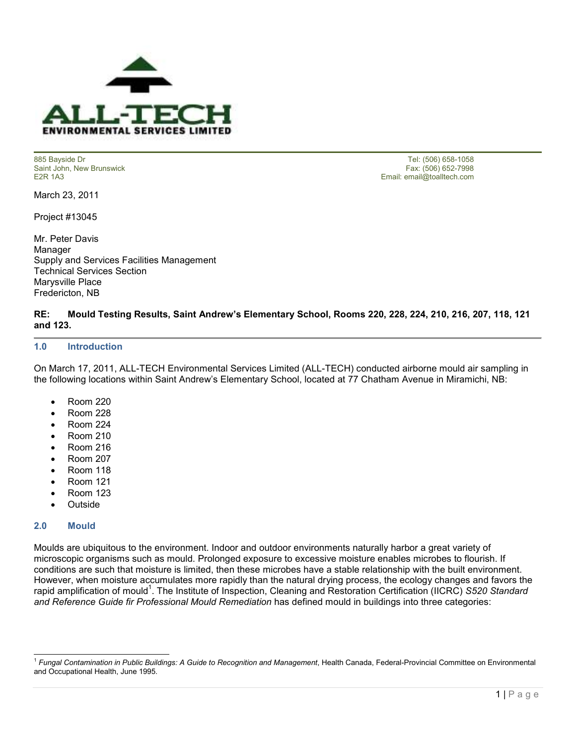

Saint John, New Brunswick<br>E2R 1A3

March 23, 2011

Project #13045

Mr. Peter Davis Manager Supply and Services Facilities Management Technical Services Section Marysville Place Fredericton, NB

885 Bayside Dr Tel: (506) 658-1058 Email: email@toalltech.com

# **RE: Mould Testing Results, Saint Andrew's Elementary School, Rooms 220, 228, 224, 210, 216, 207, 118, 121 and 123.**

#### **1.0 Introduction**

On March 17, 2011, ALL-TECH Environmental Services Limited (ALL-TECH) conducted airborne mould air sampling in the following locations within Saint Andrew's Elementary School, located at 77 Chatham Avenue in Miramichi, NB:

- Room 220
- Room 228
- Room 224
- Room 210
- Room 216
- Room 207
- Room 118
- Room 121
- Room 123
- Outside

#### **2.0 Mould**

Moulds are ubiquitous to the environment. Indoor and outdoor environments naturally harbor a great variety of microscopic organisms such as mould. Prolonged exposure to excessive moisture enables microbes to flourish. If conditions are such that moisture is limited, then these microbes have a stable relationship with the built environment. However, when moisture accumulates more rapidly than the natural drying process, the ecology changes and favors the rapid amplification of mould<sup>1</sup>. The Institute of Inspection, Cleaning and Restoration Certification (IICRC) S520 Standard *and Reference Guide fir Professional Mould Remediation* has defined mould in buildings into three categories:

 1 *Fungal Contamination in Public Buildings: A Guide to Recognition and Management*, Health Canada, Federal-Provincial Committee on Environmental and Occupational Health, June 1995.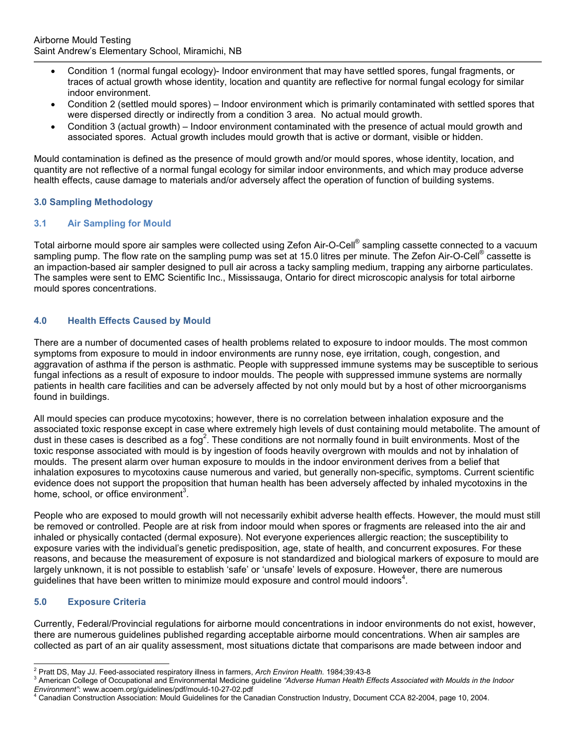- Condition 1 (normal fungal ecology)- Indoor environment that may have settled spores, fungal fragments, or traces of actual growth whose identity, location and quantity are reflective for normal fungal ecology for similar indoor environment.
- Condition 2 (settled mould spores) Indoor environment which is primarily contaminated with settled spores that were dispersed directly or indirectly from a condition 3 area. No actual mould growth.
- Condition 3 (actual growth) Indoor environment contaminated with the presence of actual mould growth and associated spores. Actual growth includes mould growth that is active or dormant, visible or hidden.

Mould contamination is defined as the presence of mould growth and/or mould spores, whose identity, location, and quantity are not reflective of a normal fungal ecology for similar indoor environments, and which may produce adverse health effects, cause damage to materials and/or adversely affect the operation of function of building systems.

# **3.0 Sampling Methodology**

#### **3.1 Air Sampling for Mould**

Total airborne mould spore air samples were collected using Zefon Air-O-Cell® sampling cassette connected to a vacuum sampling pump. The flow rate on the sampling pump was set at 15.0 litres per minute. The Zefon Air-O-Cell® cassette is an impaction-based air sampler designed to pull air across a tacky sampling medium, trapping any airborne particulates. The samples were sent to EMC Scientific Inc., Mississauga, Ontario for direct microscopic analysis for total airborne mould spores concentrations.

# **4.0 Health Effects Caused by Mould**

There are a number of documented cases of health problems related to exposure to indoor moulds. The most common symptoms from exposure to mould in indoor environments are runny nose, eye irritation, cough, congestion, and aggravation of asthma if the person is asthmatic. People with suppressed immune systems may be susceptible to serious fungal infections as a result of exposure to indoor moulds. The people with suppressed immune systems are normally patients in health care facilities and can be adversely affected by not only mould but by a host of other microorganisms found in buildings.

All mould species can produce mycotoxins; however, there is no correlation between inhalation exposure and the associated toxic response except in case where extremely high levels of dust containing mould metabolite. The amount of dust in these cases is described as a fog<sup>2</sup>. These conditions are not normally found in built environments. Most of the toxic response associated with mould is by ingestion of foods heavily overgrown with moulds and not by inhalation of moulds. The present alarm over human exposure to moulds in the indoor environment derives from a belief that inhalation exposures to mycotoxins cause numerous and varied, but generally non-specific, symptoms. Current scientific evidence does not support the proposition that human health has been adversely affected by inhaled mycotoxins in the home, school, or office environment<sup>3</sup>.

People who are exposed to mould growth will not necessarily exhibit adverse health effects. However, the mould must still be removed or controlled. People are at risk from indoor mould when spores or fragments are released into the air and inhaled or physically contacted (dermal exposure). Not everyone experiences allergic reaction; the susceptibility to exposure varies with the individual's genetic predisposition, age, state of health, and concurrent exposures. For these reasons, and because the measurement of exposure is not standardized and biological markers of exposure to mould are largely unknown, it is not possible to establish 'safe' or 'unsafe' levels of exposure. However, there are numerous guidelines that have been written to minimize mould exposure and control mould indoors<sup>4</sup>.

# **5.0 Exposure Criteria**

Currently, Federal/Provincial regulations for airborne mould concentrations in indoor environments do not exist, however, there are numerous guidelines published regarding acceptable airborne mould concentrations. When air samples are collected as part of an air quality assessment, most situations dictate that comparisons are made between indoor and

 2 Pratt DS, May JJ. Feed-associated respiratory illness in farmers, *Arch Environ Health.* 1984;39:43-8

<sup>&</sup>lt;sup>3</sup> American College of Occupational and Environmental Medicine guideline "Adverse Human Health Effects Associated with Moulds in the Indoor *Environment"*: www.acoem.org/guidelines/pdf/mould-10-27-02.pdf

<sup>4</sup> Canadian Construction Association: Mould Guidelines for the Canadian Construction Industry, Document CCA 82-2004, page 10, 2004.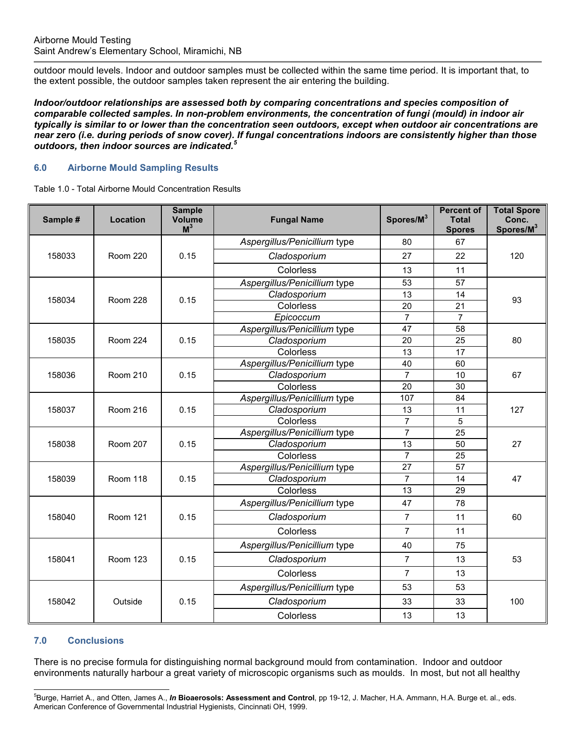outdoor mould levels. Indoor and outdoor samples must be collected within the same time period. It is important that, to the extent possible, the outdoor samples taken represent the air entering the building.

*Indoor/outdoor relationships are assessed both by comparing concentrations and species composition of comparable collected samples. In non-problem environments, the concentration of fungi (mould) in indoor air typically is similar to or lower than the concentration seen outdoors, except when outdoor air concentrations are near zero (i.e. during periods of snow cover). If fungal concentrations indoors are consistently higher than those outdoors, then indoor sources are indicated.<sup>5</sup>* 

# **6.0 Airborne Mould Sampling Results**

Table 1.0 - Total Airborne Mould Concentration Results

| Sample # | <b>Location</b> | <b>Sample</b><br><b>Volume</b><br>$M^3$ | <b>Fungal Name</b>           | Spores/M <sup>3</sup> | <b>Percent of</b><br><b>Total</b><br><b>Spores</b> | <b>Total Spore</b><br>Conc.<br>Spores/M <sup>3</sup> |
|----------|-----------------|-----------------------------------------|------------------------------|-----------------------|----------------------------------------------------|------------------------------------------------------|
| 158033   | <b>Room 220</b> | 0.15                                    | Aspergillus/Penicillium type | 80                    | 67                                                 | 120                                                  |
|          |                 |                                         | Cladosporium                 | 27                    | 22                                                 |                                                      |
|          |                 |                                         | Colorless                    | 13                    | 11                                                 |                                                      |
| 158034   | <b>Room 228</b> | 0.15                                    | Aspergillus/Penicillium type | 53                    | 57                                                 | 93                                                   |
|          |                 |                                         | Cladosporium                 | 13                    | 14                                                 |                                                      |
|          |                 |                                         | Colorless                    | 20                    | 21                                                 |                                                      |
|          |                 |                                         | Epicoccum                    | $\overline{7}$        | $\overline{7}$                                     |                                                      |
| 158035   | <b>Room 224</b> | 0.15                                    | Aspergillus/Penicillium type | 47                    | 58                                                 | 80                                                   |
|          |                 |                                         | Cladosporium                 | 20                    | 25                                                 |                                                      |
|          |                 |                                         | Colorless                    | 13                    | 17                                                 |                                                      |
| 158036   | <b>Room 210</b> | 0.15                                    | Aspergillus/Penicillium type | 40                    | 60                                                 | 67                                                   |
|          |                 |                                         | Cladosporium                 | $\overline{7}$        | 10                                                 |                                                      |
|          |                 |                                         | Colorless                    | 20                    | 30                                                 |                                                      |
| 158037   | <b>Room 216</b> | 0.15                                    | Aspergillus/Penicillium type | 107                   | 84                                                 | 127                                                  |
|          |                 |                                         | Cladosporium                 | 13                    | 11                                                 |                                                      |
|          |                 |                                         | Colorless                    | $\overline{7}$        | 5                                                  |                                                      |
| 158038   | <b>Room 207</b> | 0.15                                    | Aspergillus/Penicillium type | $\overline{7}$        | 25                                                 | 27                                                   |
|          |                 |                                         | Cladosporium                 | 13                    | 50                                                 |                                                      |
|          |                 |                                         | Colorless                    | $\overline{7}$        | 25                                                 |                                                      |
| 158039   | <b>Room 118</b> | 0.15                                    | Aspergillus/Penicillium type | 27                    | 57                                                 | 47                                                   |
|          |                 |                                         | Cladosporium                 | $\overline{7}$        | 14                                                 |                                                      |
|          |                 |                                         | Colorless                    | 13                    | 29                                                 |                                                      |
| 158040   | <b>Room 121</b> | 0.15                                    | Aspergillus/Penicillium type | 47                    | 78                                                 | 60                                                   |
|          |                 |                                         | Cladosporium                 | $\overline{7}$        | 11                                                 |                                                      |
|          |                 |                                         | Colorless                    | $\overline{7}$        | 11                                                 |                                                      |
| 158041   | <b>Room 123</b> | 0.15                                    | Aspergillus/Penicillium type | 40                    | 75                                                 | 53                                                   |
|          |                 |                                         | Cladosporium                 | $\overline{7}$        | 13                                                 |                                                      |
|          |                 |                                         | Colorless                    | 7                     | 13                                                 |                                                      |
| 158042   | Outside         | 0.15                                    | Aspergillus/Penicillium type | 53                    | 53                                                 | 100                                                  |
|          |                 |                                         | Cladosporium                 | 33                    | 33                                                 |                                                      |
|          |                 |                                         | Colorless                    | 13                    | 13                                                 |                                                      |

#### **7.0 Conclusions**

There is no precise formula for distinguishing normal background mould from contamination. Indoor and outdoor environments naturally harbour a great variety of microscopic organisms such as moulds. In most, but not all healthy

l <sup>5</sup>Burge, Harriet A., and Otten, James A., *In* **Bioaerosols: Assessment and Control**, pp 19-12, J. Macher, H.A. Ammann, H.A. Burge et. al., eds. American Conference of Governmental Industrial Hygienists, Cincinnati OH, 1999.